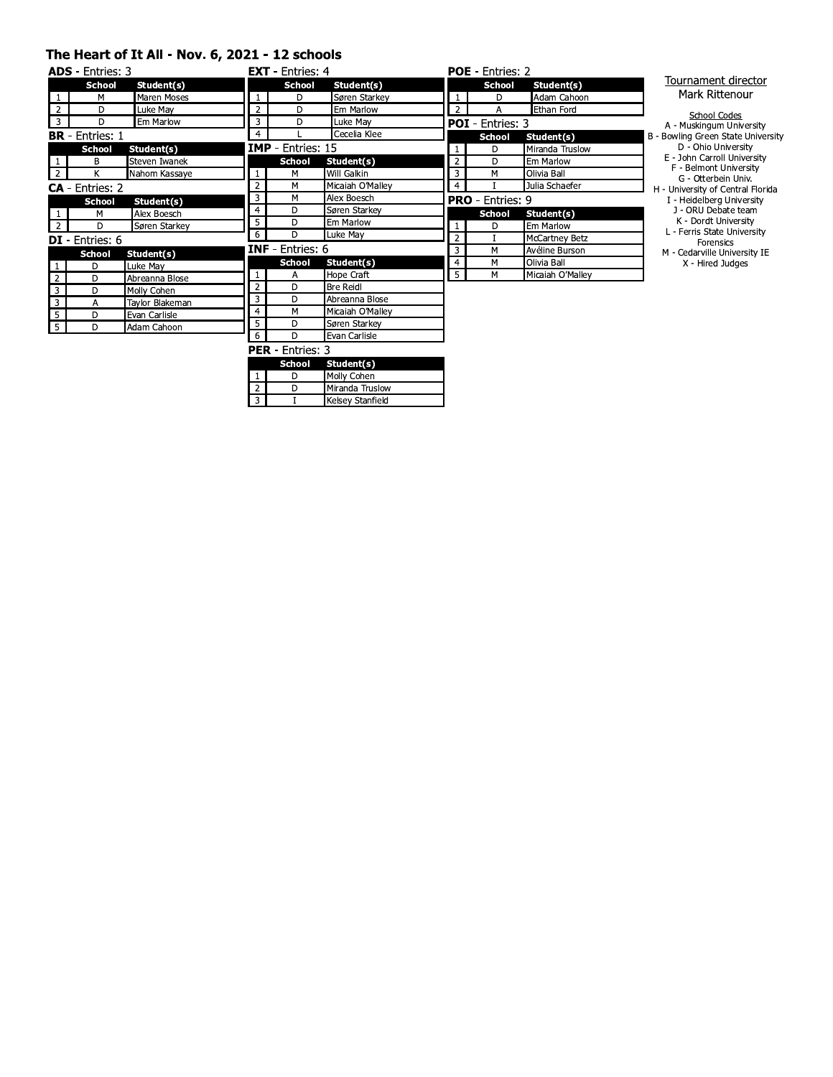#### The Heart of It All - Nov. 6, 2021 - 12 schools

| <b>ADS</b> - Entries: 3 |                        |                 |                | <b>EXT</b> - Entries: $4$ |                  |                | <b>POE</b> - Entries: 2 |                       |   |
|-------------------------|------------------------|-----------------|----------------|---------------------------|------------------|----------------|-------------------------|-----------------------|---|
|                         | <b>School</b>          | Student(s)      |                | <b>School</b>             | Student(s)       |                | <b>School</b>           | Student(s)            |   |
|                         | м                      | Maren Moses     |                | D                         | Søren Starkey    |                | D                       | Adam Cahoon           |   |
| $\overline{2}$          | D                      | Luke May        | $\overline{2}$ | D                         | Em Marlow        | $\overline{2}$ |                         | <b>Ethan Ford</b>     |   |
| 3                       | D                      | Em Marlow       | 3              | D                         | Luke May         |                | <b>POI</b> - Entries: 3 |                       |   |
|                         | <b>BR</b> - Entries: 1 |                 | 4              |                           | Cecelia Klee     |                | <b>School</b>           | Student(s)            | B |
|                         | <b>School</b>          | Student(s)      |                | <b>IMP</b> Entries: 15    |                  | 1              | D                       | Miranda Truslow       |   |
|                         | В                      | Steven Iwanek   |                | <b>School</b>             | Student(s)       | $\overline{2}$ | D                       | Em Marlow             |   |
| $\overline{2}$          | K                      | Nahom Kassaye   | $\mathbf{1}$   | M                         | Will Galkin      | 3              | M                       | Olivia Ball           |   |
|                         | $CA - Entries: 2$      |                 | 2              | M                         | Micaiah O'Malley | 4              |                         | Julia Schaefer        |   |
|                         | <b>School</b>          | Student(s)      | 3              | M                         | Alex Boesch      |                | <b>PRO</b> - Entries: 9 |                       |   |
|                         | м                      | Alex Boesch     | $\overline{4}$ | D                         | Søren Starkey    |                | <b>School</b>           | Student(s)            |   |
| $\overline{2}$          | D                      | Søren Starkey   | 5              | D                         | Em Marlow        |                | D                       | Em Marlow             |   |
|                         | <b>DI</b> - Entries: 6 |                 | 6              | D                         | Luke May         | $\overline{2}$ |                         | <b>McCartney Betz</b> |   |
|                         | <b>School</b>          | Student(s)      |                | <b>INF</b> - Entries: 6   |                  | 3              | M                       | Avéline Burson        |   |
|                         | D                      | Luke May        |                | <b>School</b>             | Student(s)       | 4              | M                       | Olivia Ball           |   |
| $\overline{2}$          | D                      | Abreanna Blose  | $\mathbf{1}$   | Α                         | Hope Craft       | 5              | M                       | Micaiah O'Mallev      |   |
| $\overline{\mathbf{3}}$ | D                      | Molly Cohen     | 2              | D                         | <b>Bre Reidl</b> |                |                         |                       |   |
| 3                       | A                      | Taylor Blakeman | 3              | D                         | Abreanna Blose   |                |                         |                       |   |
| 5                       | D                      | Evan Carlisle   | $\overline{4}$ | M                         | Micaiah O'Malley |                |                         |                       |   |
| 5 <sub>1</sub>          | D                      | Adam Cahoon     | 5              | D                         | Søren Starkey    |                |                         |                       |   |
|                         |                        |                 | 6              | D                         | Evan Carlisle    |                |                         |                       |   |
|                         |                        |                 |                | <b>PER</b> - Entries: 3   |                  |                |                         |                       |   |

Student(s)

Molly Cohen

Miranda Truslow Kelsey Stanfield

School

 $\overline{D}$ 

 $\overline{D}$ 

T

#### Tournament director Mark Rittenour

| <b>School Codes</b>                |
|------------------------------------|
| A - Muskingum University           |
| 3 - Bowling Green State University |
| D - Ohio University                |
| E - John Carroll University        |
| F - Belmont University             |
| G - Otterbein Univ.                |
| H - University of Central Florida  |
|                                    |

Fraction Central Horid<br>
1 - Heidelberg University<br>
1 - ORU Debate team<br>
K - Dordt University<br>
L - Ferris State University<br>
Forensics<br>
M - Cedarville University IE<br>
X - Hired Judges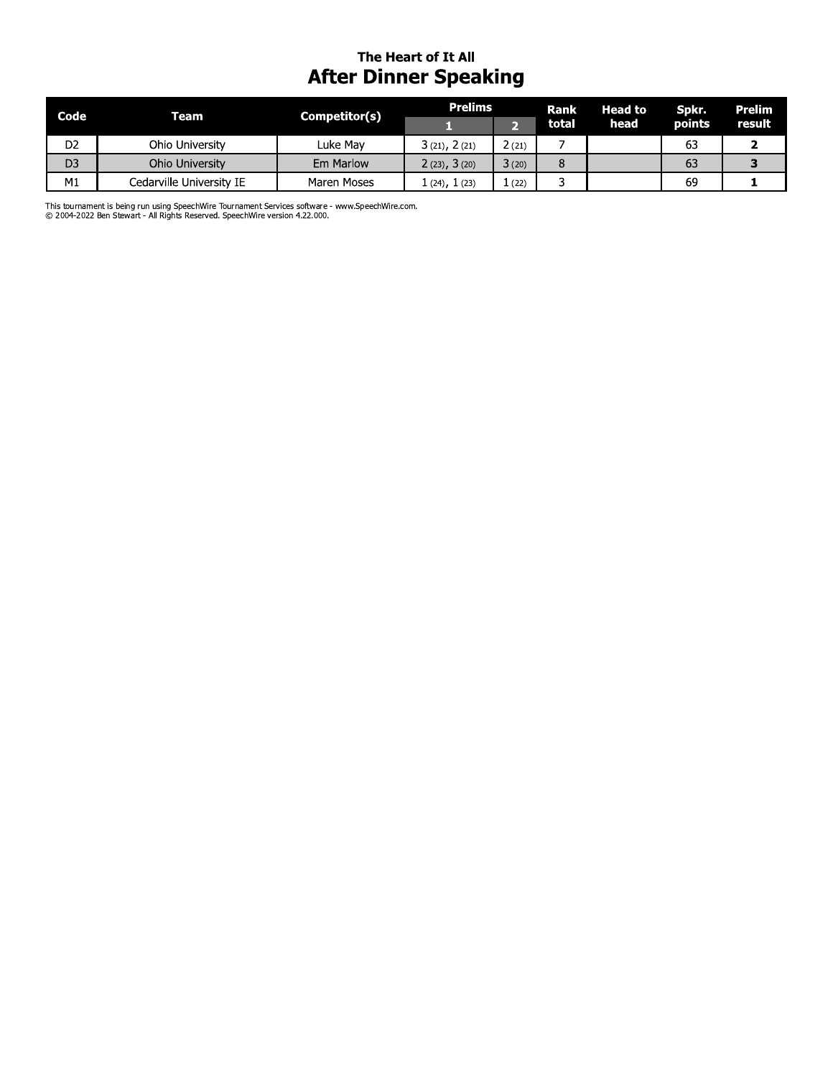## The Heart of It All **After Dinner Speaking**

| Code           | Team                     | Competitor(s) | <b>Prelims</b> |       | <b>Rank</b> | <b>Head to</b> | Spkr.  | Prelim |
|----------------|--------------------------|---------------|----------------|-------|-------------|----------------|--------|--------|
|                |                          |               |                |       | total       | head           | points | result |
| D <sub>2</sub> | Ohio University          | Luke Mav      | 3(21), 2(21)   | 2(21) |             |                | 63     |        |
| D <sub>3</sub> | Ohio University          | Em Marlow     | 2(23), 3(20)   | 3(20) |             |                | 63     |        |
| M1             | Cedarville University IE | Maren Moses   | 1 (24), 1 (23) | 1(22) |             |                | 69     |        |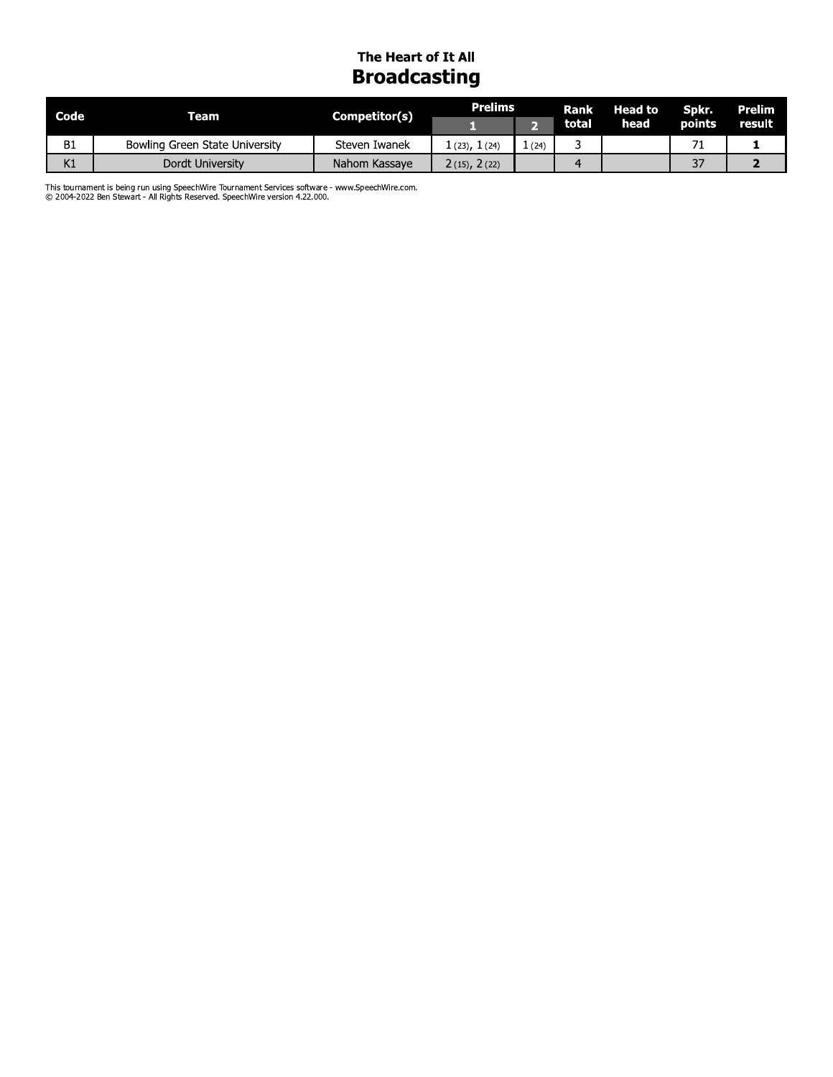# The Heart of It All **Broadcasting**

| Code      | Team'                          | Competitor(s) | <b>Prelims</b> |      | <b>Rank</b> | <b>Head to</b> | Spkr.   | <b>Prelim</b> |
|-----------|--------------------------------|---------------|----------------|------|-------------|----------------|---------|---------------|
|           |                                |               |                |      | total       | head           | points  | result        |
| <b>B1</b> | Bowling Green State University | Steven Iwanek | 1(23), 1(24)   | (24) |             |                |         |               |
| K1        | Dordt University               | Nahom Kassaye | 2(15), 2(22)   |      |             |                | ¬−<br>◡ |               |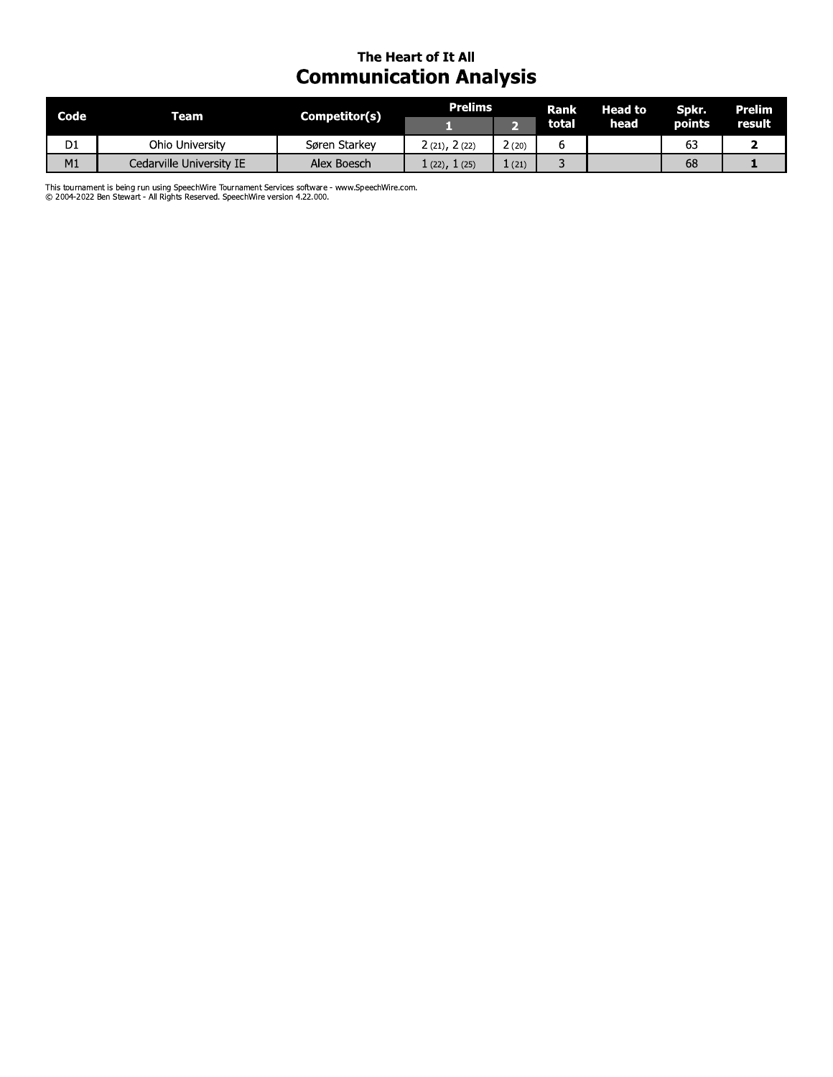# The Heart of It All **Communication Analysis**

| Code           | Team                     | Competitor(s) | Prelims          |               | Rank  | Head to | Spkr.         | Prelim        |
|----------------|--------------------------|---------------|------------------|---------------|-------|---------|---------------|---------------|
|                |                          |               |                  |               | total | head    | <b>points</b> | <b>result</b> |
| D <sub>1</sub> | Ohio University          | Søren Starkey | 2(21), 2(22)     | $\angle$ (20) |       |         | 63            |               |
| M1             | Cedarville University IE | Alex Boesch   | . (22), $1$ (25) | 1(21)         |       |         | 68            |               |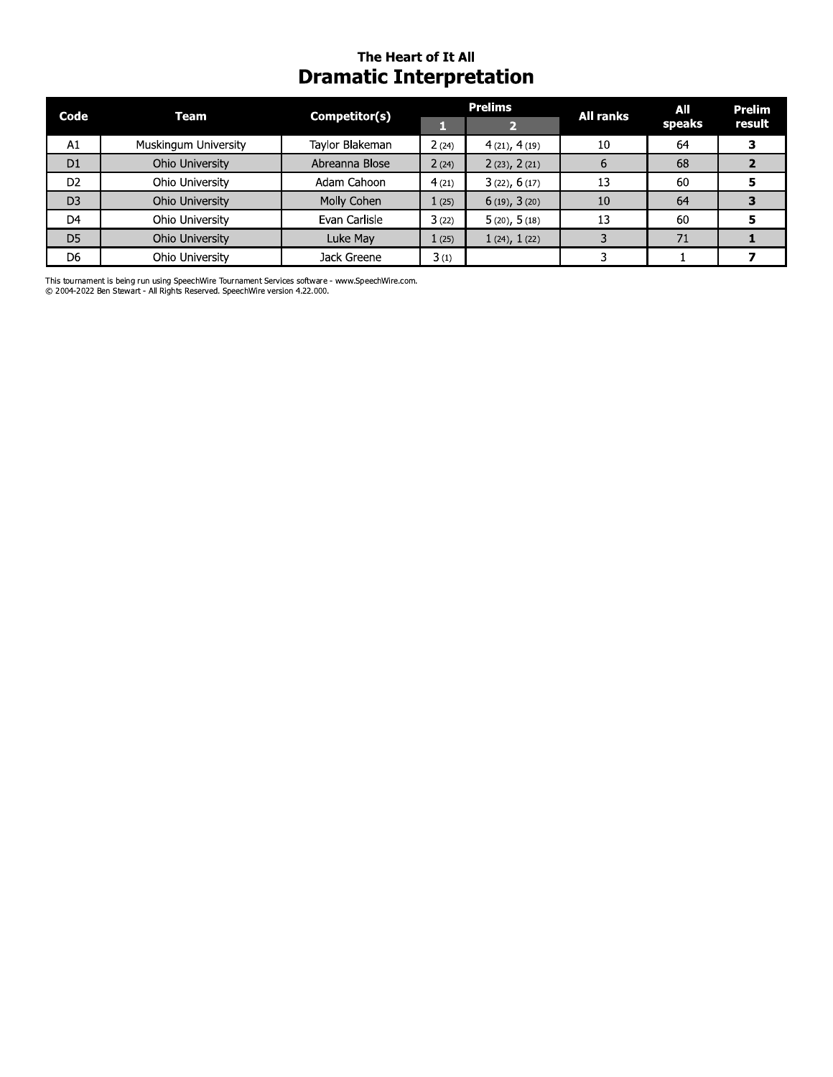## The Heart of It All **Dramatic Interpretation**

| Code           | Team                 | Competitor(s)   |       | <b>Prelims</b>    | <b>All ranks</b> | AII    | Prelim |
|----------------|----------------------|-----------------|-------|-------------------|------------------|--------|--------|
|                |                      |                 |       |                   |                  | speaks | result |
| A1             | Muskingum University | Taylor Blakeman | 2(24) | 4(21), 4(19)      | 10               | 64     |        |
| D <sub>1</sub> | Ohio University      | Abreanna Blose  | 2(24) | 2(23), 2(21)      | $\mathbf b$      | 68     |        |
| D <sub>2</sub> | Ohio University      | Adam Cahoon     | 4(21) | 3(22), 6(17)      | 13               | 60     |        |
| D <sub>3</sub> | Ohio University      | Molly Cohen     | 1(25) | $6(19)$ , $3(20)$ | 10               | 64     |        |
| D <sub>4</sub> | Ohio University      | Evan Carlisle   | 3(22) | 5(20), 5(18)      | 13               | 60     |        |
| D <sub>5</sub> | Ohio University      | Luke May        | 1(25) | $1(24)$ , $1(22)$ |                  | 71     |        |
| D6             | Ohio University      | Jack Greene     | 3(1)  |                   |                  |        |        |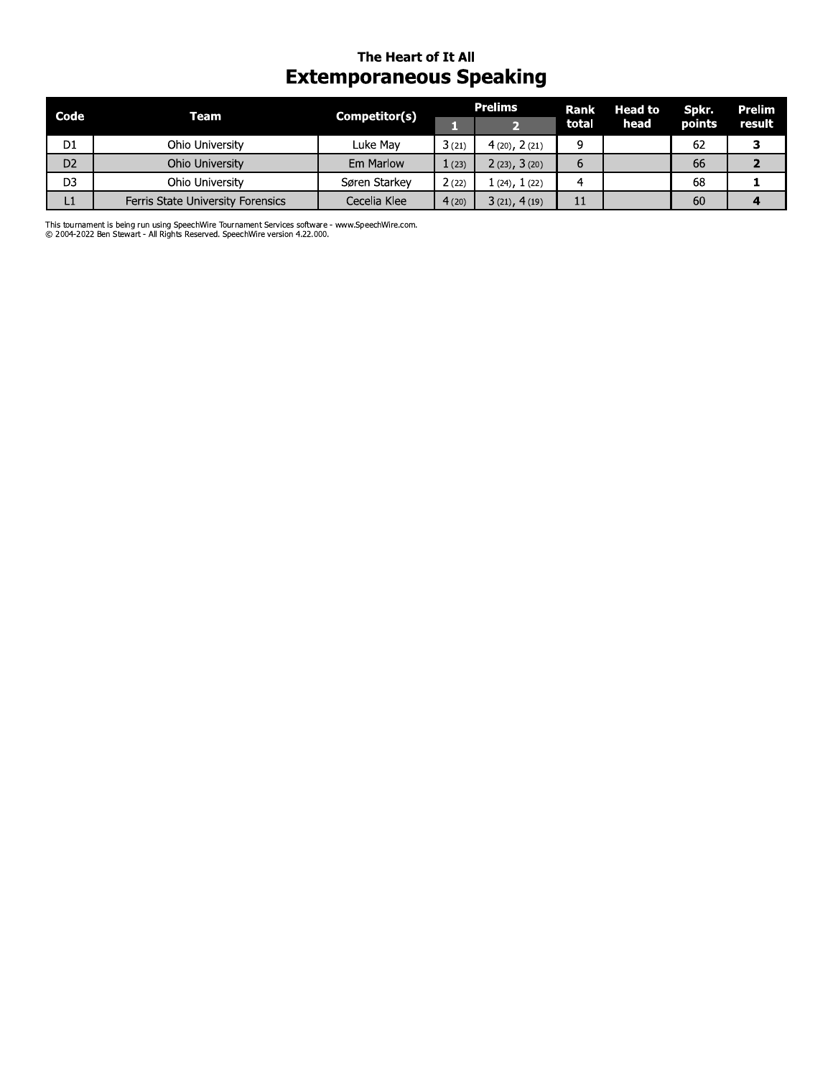# The Heart of It All **Extemporaneous Speaking**

| Code           | Team                              | Competitor(s) | <b>Prelims</b> |                | Rank  | <b>Head to</b> | Spkr.  | <b>Prelim</b> |
|----------------|-----------------------------------|---------------|----------------|----------------|-------|----------------|--------|---------------|
|                |                                   |               |                |                | total | head           | points | result        |
| D1             | Ohio University                   | Luke Mav      | 3(21)          | 4(20), 2(21)   | a     |                | 62     |               |
| D <sub>2</sub> | Ohio University                   | Em Marlow     | 1(23)          | 2(23), 3(20)   | 6     |                | 66     |               |
| D <sub>3</sub> | Ohio University                   | Søren Starkey | 2(22)          | 1 (24), 1 (22) | 4     |                | 68     |               |
| L1             | Ferris State University Forensics | Cecelia Klee  | 4(20)          | 3(21), 4(19)   | 11    |                | 60     |               |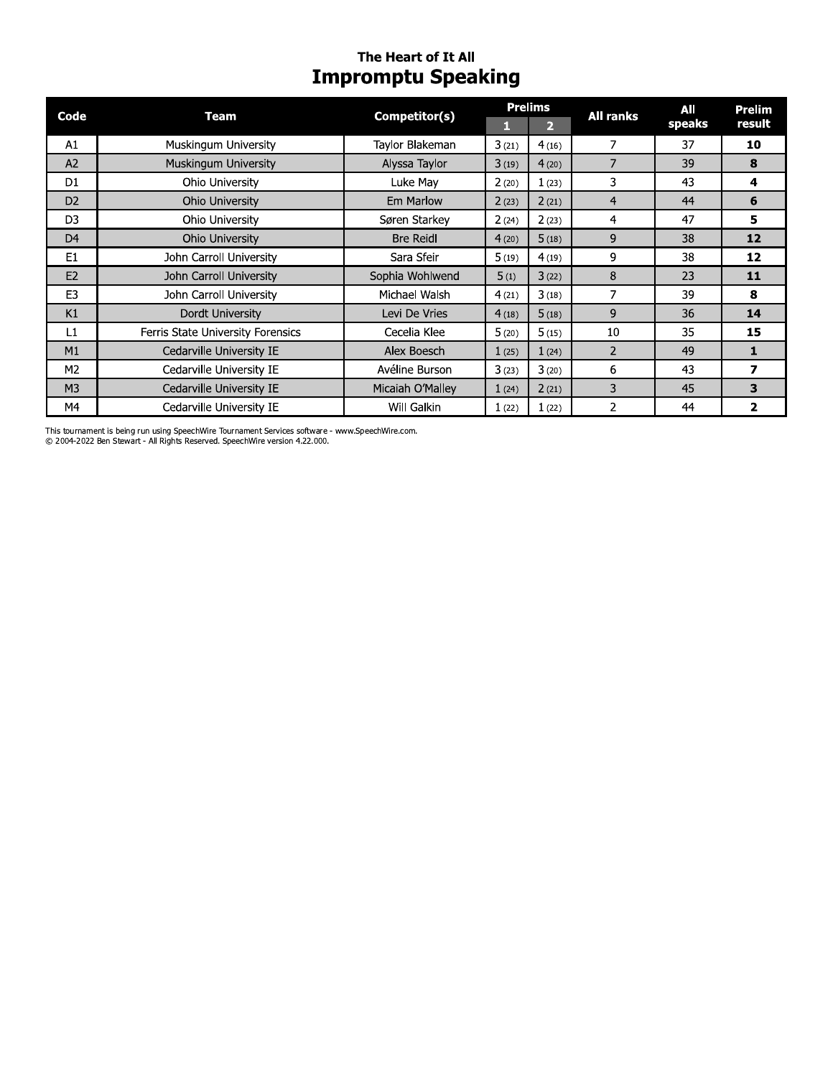# The Heart of It All **Impromptu Speaking**

| Code           | <b>Team</b>                       | Competitor(s)    |       | <b>Prelims</b> | <b>All ranks</b> | All    | Prelim                  |
|----------------|-----------------------------------|------------------|-------|----------------|------------------|--------|-------------------------|
|                |                                   |                  |       | $\overline{2}$ |                  | speaks | result                  |
| A1             | Muskingum University              | Taylor Blakeman  | 3(21) | 4(16)          | 7                | 37     | 10                      |
| A2             | Muskingum University              | Alyssa Taylor    | 3(19) | 4(20)          | 7                | 39     | 8                       |
| D <sub>1</sub> | Ohio University                   | Luke May         | 2(20) | 1(23)          | 3                | 43     | 4                       |
| D <sub>2</sub> | Ohio University                   | Em Marlow        | 2(23) | 2(21)          | 4                | 44     | 6                       |
| D <sub>3</sub> | Ohio University                   | Søren Starkey    | 2(24) | 2(23)          | $\overline{4}$   | 47     | 5                       |
| D <sub>4</sub> | Ohio University                   | <b>Bre Reidl</b> | 4(20) | 5(18)          | 9                | 38     | 12                      |
| E <sub>1</sub> | John Carroll University           | Sara Sfeir       | 5(19) | 4(19)          | 9                | 38     | 12                      |
| E2             | John Carroll University           | Sophia Wohlwend  | 5(1)  | 3(22)          | 8                | 23     | 11                      |
| E <sub>3</sub> | John Carroll University           | Michael Walsh    | 4(21) | 3(18)          | 7                | 39     | 8                       |
| K1             | Dordt University                  | Levi De Vries    | 4(18) | 5(18)          | 9                | 36     | 14                      |
| L1             | Ferris State University Forensics | Cecelia Klee     | 5(20) | 5(15)          | 10               | 35     | 15                      |
| M1             | Cedarville University IE          | Alex Boesch      | 1(25) | 1(24)          | $\overline{2}$   | 49     | 1                       |
| M2             | Cedarville University IE          | Avéline Burson   | 3(23) | 3(20)          | 6                | 43     | 7                       |
| M <sub>3</sub> | Cedarville University IE          | Micaiah O'Malley | 1(24) | 2(21)          | 3                | 45     | 3                       |
| M4             | Cedarville University IE          | Will Galkin      | 1(22) | 1(22)          | 2                | 44     | $\overline{\mathbf{z}}$ |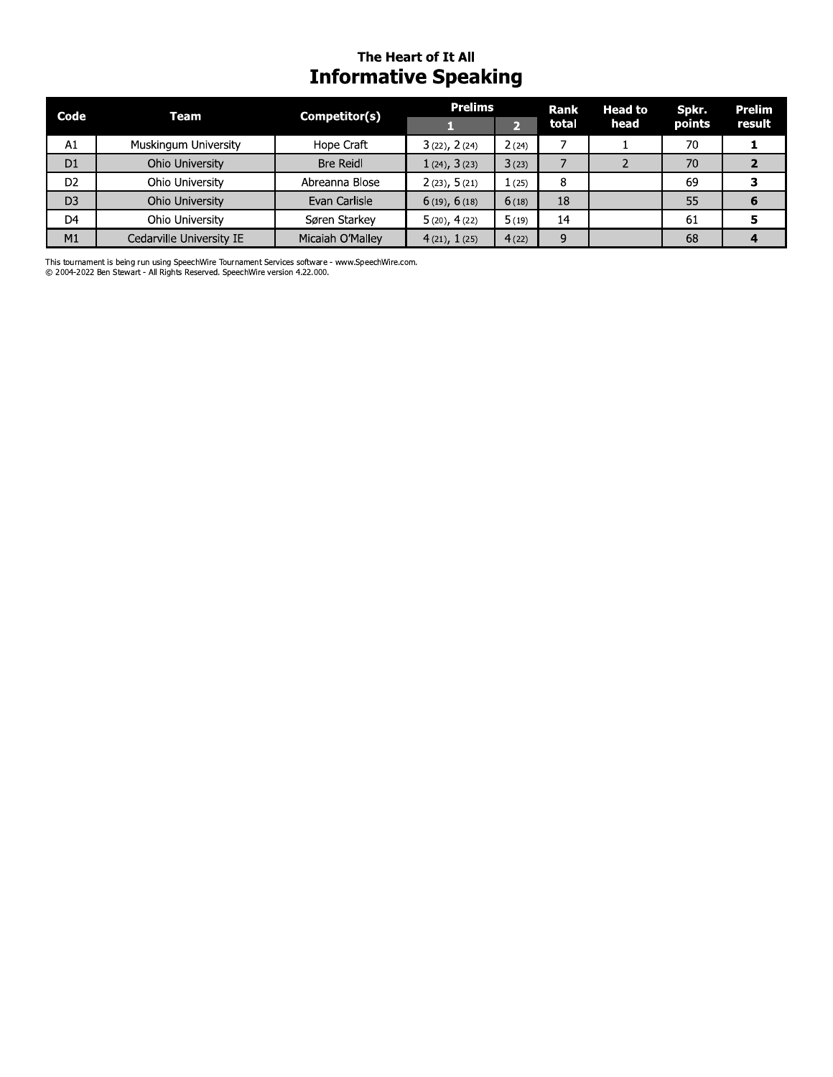# The Heart of It All **Informative Speaking**

| Code           | Team                     | Competitor(s)    | <b>Prelims</b>    |       | <b>Rank</b> | <b>Head to</b> | Spkr.  | Prelim |
|----------------|--------------------------|------------------|-------------------|-------|-------------|----------------|--------|--------|
|                |                          |                  |                   |       | total       | head           | points | result |
| A1             | Muskingum University     | Hope Craft       | $3(22)$ , $2(24)$ | 2(24) |             |                | 70     |        |
| D <sub>1</sub> | Ohio University          | <b>Bre Reidl</b> | 1(24), 3(23)      | 3(23) |             |                | 70     |        |
| D <sub>2</sub> | Ohio University          | Abreanna Blose   | 2(23), 5(21)      | (25)  | 8           |                | 69     |        |
| D <sub>3</sub> | Ohio University          | Evan Carlisle    | $6(19)$ , $6(18)$ | 6(18) | 18          |                | 55     |        |
| D <sub>4</sub> | Ohio University          | Søren Starkev    | 5(20), 4(22)      | 5(19) | 14          |                | 61     |        |
| M1             | Cedarville University IE | Micaiah O'Malley | 4(21), 1(25)      | 4(22) | 9           |                | 68     |        |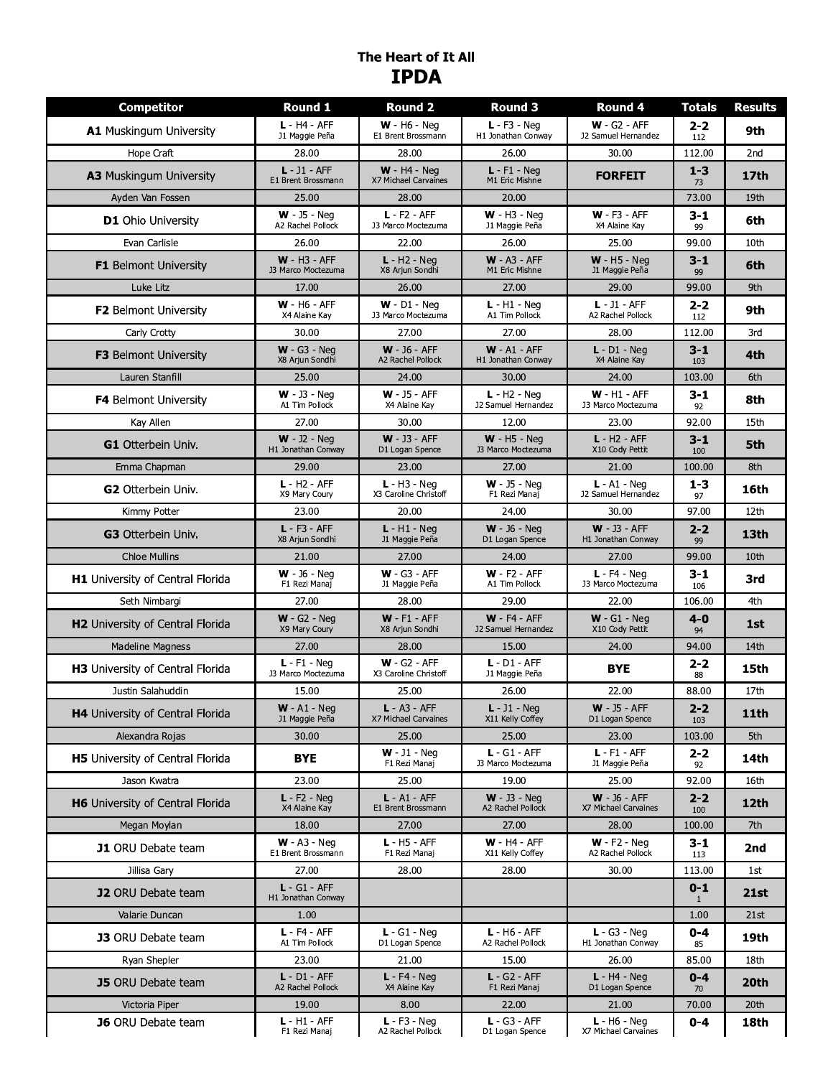# The Heart of It All **IPDA**

| <b>Competitor</b>                       | <b>Round 1</b>                        | <b>Round 2</b>                          | Round 3                                       | Round 4                                      | <b>Totals</b>           | <b>Results</b> |
|-----------------------------------------|---------------------------------------|-----------------------------------------|-----------------------------------------------|----------------------------------------------|-------------------------|----------------|
| A1 Muskingum University                 | $L - H4 - AFF$<br>J1 Maggie Peña      | $W - H6 - Neq$<br>E1 Brent Brossmann    | $L - F3 - Neq$<br>H1 Jonathan Conway          | $W - G2 - AFF$<br>J2 Samuel Hernandez        | $2 - 2$<br>112          | 9th            |
| Hope Craft                              | 28.00                                 | 28.00                                   | 26.00                                         | 30.00                                        | 112.00                  | 2nd            |
| A3 Muskingum University                 | $L - J1 - AFF$<br>E1 Brent Brossmann  | $W - H4 - Neq$<br>X7 Michael Carvaines  | $L - F1 - Neq$<br>M1 Eric Mishne              | <b>FORFEIT</b>                               | $1 - 3$<br>73           | 17th           |
| Ayden Van Fossen                        | 25.00                                 | 28.00                                   | 20.00                                         |                                              | 73.00                   | 19th           |
| <b>D1</b> Ohio University               | $W - 35 - Neq$<br>A2 Rachel Pollock   | $L - F2 - AFF$<br>J3 Marco Moctezuma    | $W - H3 - Neq$<br>J1 Maggie Peña              | $W - F3 - AFF$<br>X4 Alaine Kay              | 3-1<br>99               | 6th            |
| Evan Carlisle                           | 26.00                                 | 22.00                                   | 26.00                                         | 25.00                                        | 99.00                   | 10th           |
| <b>F1</b> Belmont University            | $W - H3 - AFF$<br>J3 Marco Moctezuma  | $L - H2 - Neq$<br>X8 Arjun Sondhi       | $W - A3 - AFF$<br>M1 Eric Mishne              | $W - H5 - Neq$<br>J1 Maggie Peña             | 3-1<br>99               | 6th            |
| Luke Litz                               | 17.00                                 | 26.00                                   | 27.00                                         | 29.00                                        | 99.00                   | 9th            |
| <b>F2</b> Belmont University            | $W - H6 - AFF$<br>X4 Alaine Kay       | $W - D1 - Nea$<br>J3 Marco Moctezuma    | $L - H1 - Neq$<br>A1 Tim Pollock              | $L - J1 - AFF$<br>A2 Rachel Pollock          | $2 - 2$<br>112          | 9th            |
| Carly Crotty                            | 30.00                                 | 27.00                                   | 27.00                                         | 28.00                                        | 112.00                  | 3rd            |
| F3 Belmont University                   | $W - G3 - Neq$<br>X8 Arjun Sondhi     | $W - 36 - AFF$<br>A2 Rachel Pollock     | $W - A1 - AFF$<br>H1 Jonathan Conway          | $L - D1 - Neq$<br>X4 Alaine Kay              | 3-1<br>103              | 4th            |
| Lauren Stanfill                         | 25.00                                 | 24.00                                   | 30.00                                         | 24.00                                        | 103.00                  | 6th            |
| <b>F4</b> Belmont University            | $W - J3 - Nea$<br>A1 Tim Pollock      | $W - J5 - AFF$<br>X4 Alaine Kay         | $L - H2 - N$ ea<br><b>J2 Samuel Hernandez</b> | $W - H1 - AFF$<br>J3 Marco Moctezuma         | $3 - 1$<br>92           | 8th            |
| Kay Allen                               | 27.00                                 | 30.00                                   | 12.00                                         | 23.00                                        | 92.00                   | 15th           |
| <b>G1</b> Otterbein Univ.               | $W - J2 - N$ eq<br>H1 Jonathan Conway | $W - 33 - AFF$<br>D1 Logan Spence       | $W - H5 - Neq$<br>J3 Marco Moctezuma          | $L - H2 - AFF$<br>X10 Cody Pettit            | 3-1<br>100              | 5th            |
| Emma Chapman                            | 29.00                                 | 23.00                                   | 27.00                                         | 21.00                                        | 100.00                  | 8th            |
| <b>G2</b> Otterbein Univ.               | $L - H2 - AFF$<br>X9 Mary Coury       | $L - H3 - Nea$<br>X3 Caroline Christoff | $W - J5 - Neq$<br>F1 Rezi Manaj               | $L - A1 - Nea$<br><b>J2 Samuel Hernandez</b> | $1 - 3$<br>97           | 16th           |
| Kimmy Potter                            | 23.00                                 | 20.00                                   | 24.00                                         | 30.00                                        | 97.00                   | 12th           |
| G3 Otterbein Univ.                      | $L - F3 - AFF$<br>X8 Arjun Sondhi     | $L - H1 - Neq$<br>J1 Maggie Peña        | $W - 36 - Neq$<br>D1 Logan Spence             | $W - J3 - AFF$<br>H1 Jonathan Conway         | $2 - 2$<br>99           | 13th           |
| <b>Chloe Mullins</b>                    | 21.00                                 | 27.00                                   | 24.00                                         | 27.00                                        | 99.00                   | 10th           |
| H1 University of Central Florida        | $W - 36 - Neq$<br>F1 Rezi Manaj       | $W - G3 - AFF$<br>J1 Maggie Peña        | $W - F2 - AFF$<br>A1 Tim Pollock              | $L - F4 - Neq$<br>J3 Marco Moctezuma         | 3-1<br>106              | 3rd            |
| Seth Nimbargi                           | 27.00                                 | 28.00                                   | 29.00                                         | 22.00                                        | 106.00                  | 4th            |
| H2 University of Central Florida        | $W - G2 - Neq$<br>X9 Mary Coury       | $W - F1 - AFF$<br>X8 Arjun Sondhi       | $W - F4 - AFF$<br><b>J2 Samuel Hernandez</b>  | $W - G1 - Neq$<br>X10 Cody Pettit            | $4 - 0$<br>94           | 1st            |
| <b>Madeline Magness</b>                 | 27.00                                 | 28.00                                   | 15.00                                         | 24.00                                        | 94.00                   | 14th           |
| H3 University of Central Florida        | $L - F1 - Neq$<br>J3 Marco Moctezuma  | $W - G2 - AFF$<br>X3 Caroline Christoff | $L - D1 - AFF$<br>J1 Maggie Peña              | <b>BYE</b>                                   | $2 - 2$<br>88           | 15th           |
| Justin Salahuddin                       | 15.00                                 | 25.00                                   | 26.00                                         | 22.00                                        | 88.00                   | 17th           |
| H4 University of Central Florida        | <b>W</b> - A1 - Neg<br>J1 Maggie Peña | $L - A3 - AFF$<br>X7 Michael Carvaines  | <b>L</b> - $J1$ - Neg<br>X11 Kelly Coffey     | <b>W</b> - $J5 - AFF$<br>D1 Logan Spence     | 2-2<br>103              | <b>11th</b>    |
| Alexandra Rojas                         | 30.00                                 | 25.00                                   | 25.00                                         | 23.00                                        | 103.00                  | 5th            |
| <b>H5</b> University of Central Florida | <b>BYE</b>                            | $W - J1 - Neg$<br>F1 Rezi Manaj         | $L - G1 - AFF$<br>J3 Marco Moctezuma          | $L - F1 - AFF$<br>J1 Maggie Peña             | 2-2<br>92               | 14th           |
| Jason Kwatra                            | 23.00                                 | 25.00                                   | 19.00                                         | 25.00                                        | 92.00                   | 16th           |
| H6 University of Central Florida        | $L - F2 - Neq$<br>X4 Alaine Kay       | $L - A1 - AFF$<br>E1 Brent Brossmann    | $W - J3 - Neq$<br>A2 Rachel Pollock           | $W - 36 - AFF$<br>X7 Michael Carvaines       | $2 - 2$<br>100          | 12th           |
| Megan Moylan                            | 18.00                                 | 27.00                                   | 27.00                                         | 28.00                                        | 100.00                  | 7th            |
| <b>J1</b> ORU Debate team               | $W - A3 - Neq$<br>E1 Brent Brossmann  | $L - H5 - AFF$<br>F1 Rezi Manaj         | $W - H4 - AFF$<br>X11 Kelly Coffey            | $W - F2 - Neq$<br>A2 Rachel Pollock          | 3-1<br>113              | 2nd            |
| Jillisa Gary                            | 27.00                                 | 28.00                                   | 28.00                                         | 30.00                                        | 113.00                  | 1st            |
| <b>J2</b> ORU Debate team               | $L - G1 - AFF$<br>H1 Jonathan Conway  |                                         |                                               |                                              | $0 - 1$<br>$\mathbf{1}$ | <b>21st</b>    |
| Valarie Duncan                          | 1.00                                  |                                         |                                               |                                              | 1.00                    | 21st           |
| <b>J3</b> ORU Debate team               | $L - F4 - AFF$<br>A1 Tim Pollock      | $L - G1 - Neq$<br>D1 Logan Spence       | $L - H6 - AFF$<br>A2 Rachel Pollock           | $L - G3 - Neq$<br>H1 Jonathan Conway         | $0 - 4$<br>85           | 19th           |
| Ryan Shepler                            | 23.00                                 | 21.00                                   | 15.00                                         | 26.00                                        | 85.00                   | 18th           |
| <b>J5</b> ORU Debate team               | $L - D1 - AFF$<br>A2 Rachel Pollock   | $L - F4 - Neq$<br>X4 Alaine Kay         | $L - G2 - AFF$<br>F1 Rezi Manaj               | $L - H4 - Neq$<br>D1 Logan Spence            | $0 - 4$<br>70           | 20th           |
| Victoria Piper                          | 19.00                                 | 8.00                                    | 22.00                                         | 21.00                                        | 70.00                   | 20th           |
| <b>J6</b> ORU Debate team               | $L - H1 - AFF$<br>F1 Rezi Manaj       | $L - F3 - Neq$<br>A2 Rachel Pollock     | $L - G3 - AFF$<br>D1 Logan Spence             | $L - H6 - Neq$<br>X7 Michael Carvaines       | $0 - 4$                 | 18th           |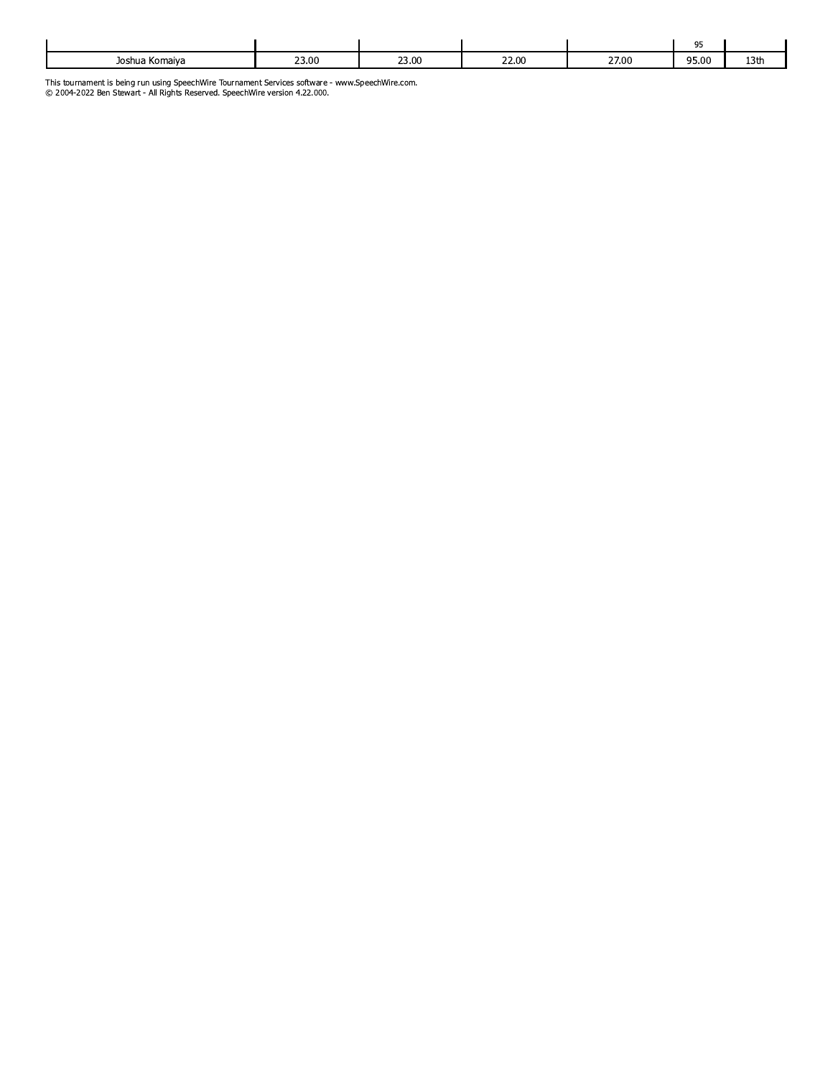|                |       |       |                |       | 05    |                |
|----------------|-------|-------|----------------|-------|-------|----------------|
| Joshua Komaiya | 23.00 | 23.00 | 22.00<br>22.00 | 27.00 | 95.00 | $\sim$<br>19UI |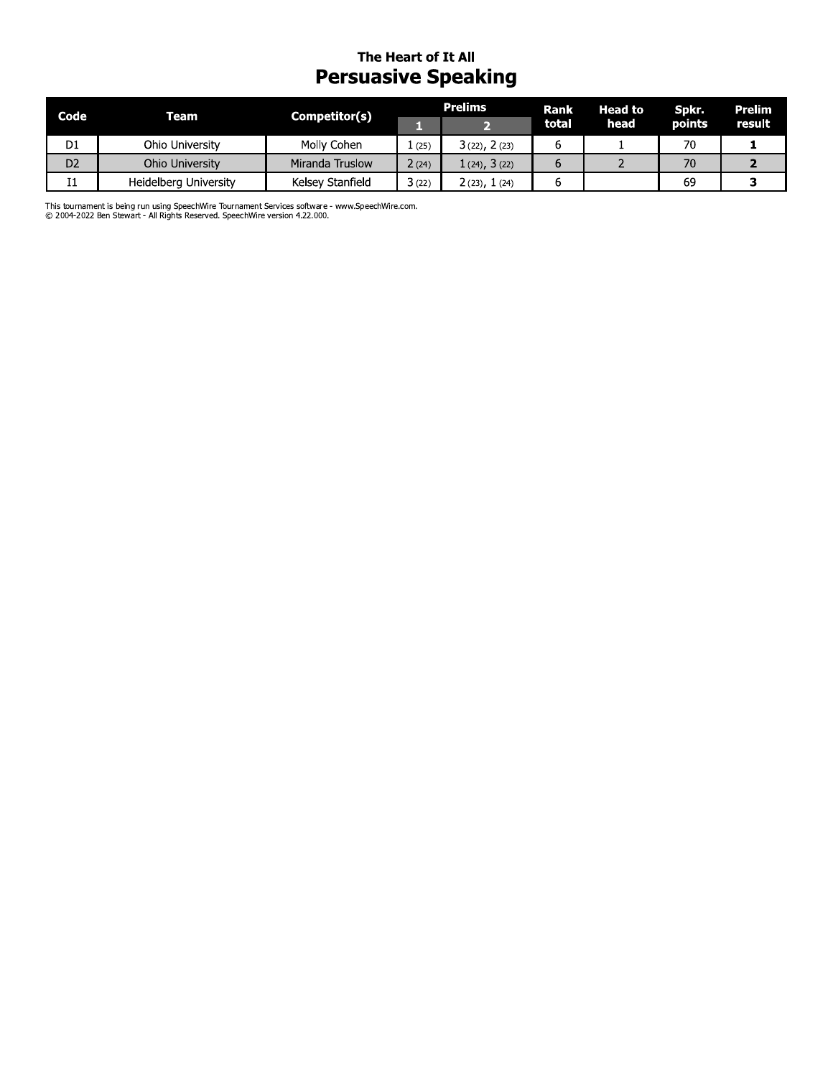# The Heart of It All **Persuasive Speaking**

| Code           | <b>Team</b>           | Competitor(s)    | <b>Prelims</b> |                   | Rank  | <b>Head to</b> | Spkr.  | Prelim |
|----------------|-----------------------|------------------|----------------|-------------------|-------|----------------|--------|--------|
|                |                       |                  |                |                   | total | head           | points | result |
| D <sub>1</sub> | Ohio University       | Molly Cohen      | (25)           | $3(22)$ , $2(23)$ | b     |                | 70     |        |
| D <sub>2</sub> | Ohio University       | Miranda Truslow  | 2(24)          | $1(24)$ , $3(22)$ | b     |                |        |        |
| 11             | Heidelberg University | Kelsey Stanfield | 3(22)          | 2 (23), 1 (24)    | b     |                | 69     |        |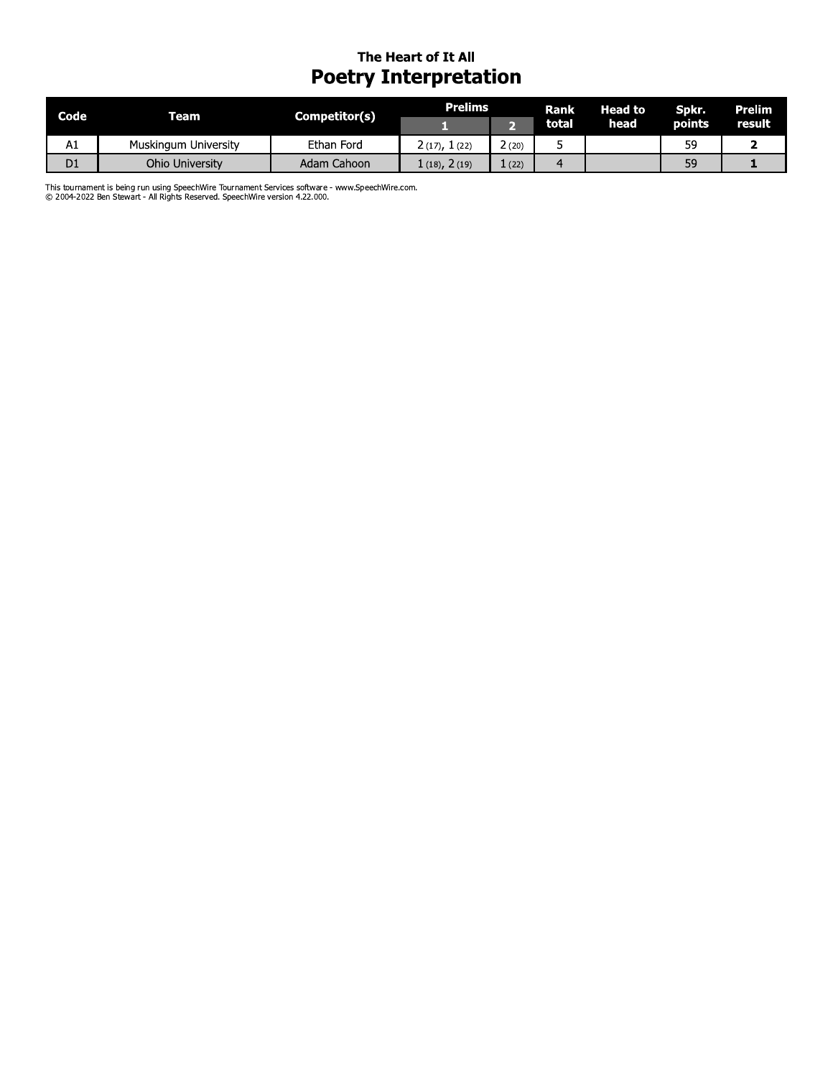## The Heart of It All **Poetry Interpretation**

| Code | Team                 | Competitor(s) | <b>Prelims</b>   |               | <b>Rank</b> | Head to ' | Spkr.         | Prelim |
|------|----------------------|---------------|------------------|---------------|-------------|-----------|---------------|--------|
|      |                      |               |                  |               | total       | head      | <b>points</b> | result |
| A1   | Muskingum University | Ethan Ford    | 2 (17), 1 (22)   | $\angle$ (20) |             |           | 59            |        |
| D1   | Ohio University      | Adam Cahoon   | $(18)$ , $2(19)$ | (22)          |             |           | 59            |        |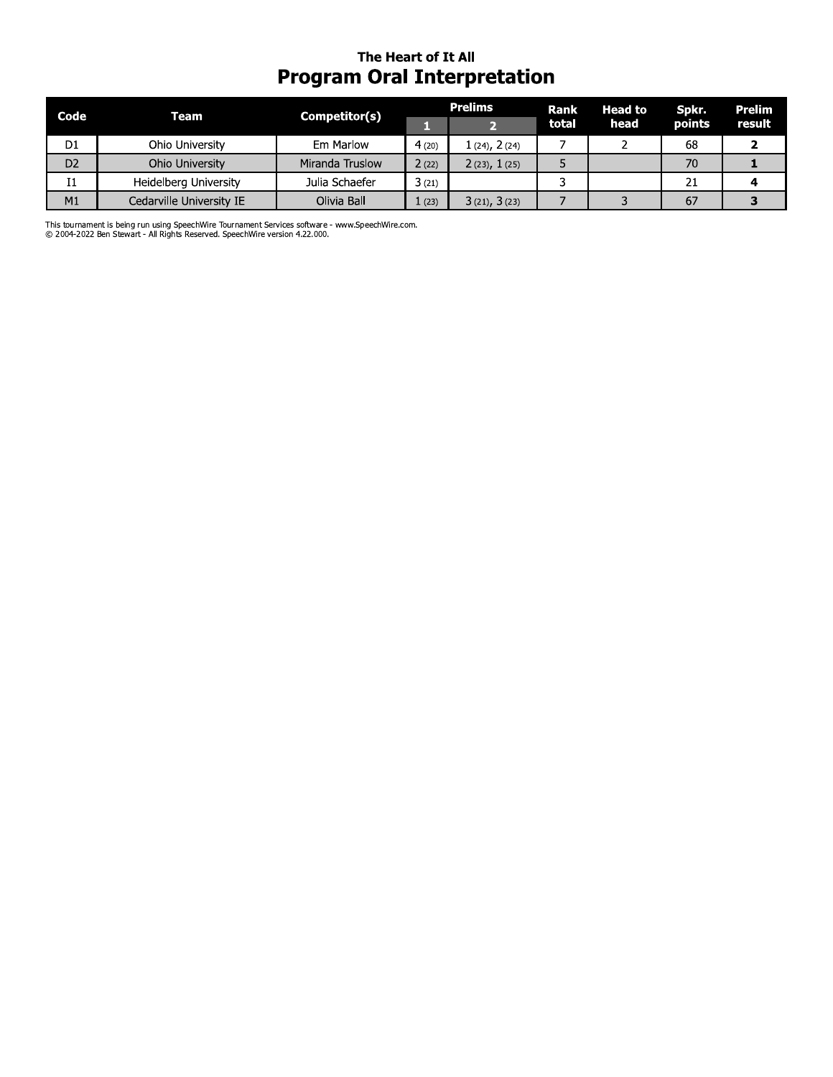# The Heart of It All **Program Oral Interpretation**

| Code           | Team                     | Competitor(s)   |       | <b>Prelims</b>    | Rank  | <b>Head to</b> | Spkr.  | Prelim<br>result |
|----------------|--------------------------|-----------------|-------|-------------------|-------|----------------|--------|------------------|
|                |                          |                 |       |                   | total | head           | points |                  |
| D <sub>1</sub> | Ohio University          | Em Marlow       | 4(20) | $1(24)$ , $2(24)$ |       |                | 68     |                  |
| D <sub>2</sub> | Ohio University          | Miranda Truslow | 2(22) | 2(23), 1(25)      |       |                | 70     |                  |
| Ι1             | Heidelberg University    | Julia Schaefer  | 3(21) |                   |       |                | 21     |                  |
| M <sub>1</sub> | Cedarville University IE | Olivia Ball     | (23)  | 3(21), 3(23)      |       |                | 67     |                  |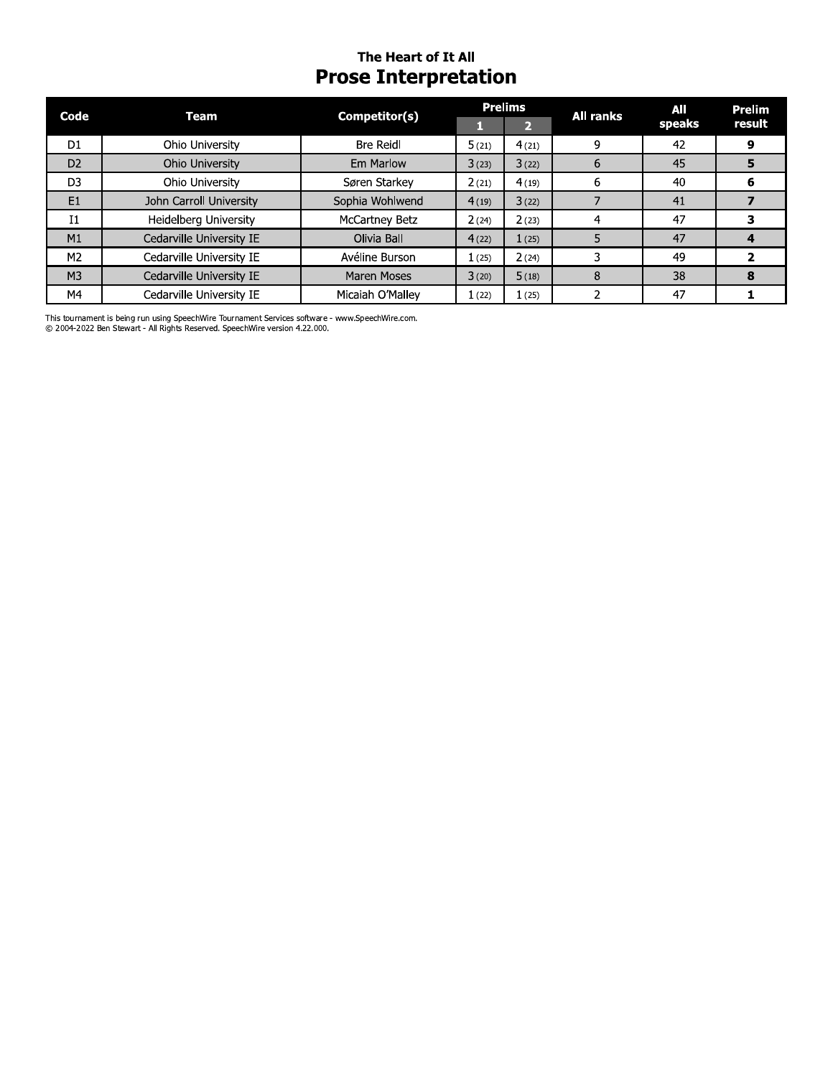# The Heart of It All **Prose Interpretation**

| Code           | Team                     | Competitor(s)      | <b>Prelims</b> |       | <b>All ranks</b> | All    | <b>Prelim</b> |
|----------------|--------------------------|--------------------|----------------|-------|------------------|--------|---------------|
|                |                          |                    |                | 2     |                  | speaks | result        |
| D <sub>1</sub> | Ohio University          | <b>Bre Reidl</b>   | 5(21)          | 4(21) | 9                | 42     | 9             |
| D <sub>2</sub> | Ohio University          | Em Marlow          | 3(23)          | 3(22) | 6                | 45     |               |
| D <sub>3</sub> | Ohio University          | Søren Starkey      | 2(21)          | 4(19) | 6                | 40     |               |
| E1             | John Carroll University  | Sophia Wohlwend    | 4(19)          | 3(22) |                  | 41     |               |
| $_{11}$        | Heidelberg University    | McCartney Betz     | 2(24)          | 2(23) |                  | 47     |               |
| M1             | Cedarville University IE | Olivia Ball        | 4(22)          | 1(25) |                  | 47     |               |
| M <sub>2</sub> | Cedarville University IE | Avéline Burson     | 1(25)          | 2(24) |                  | 49     |               |
| M <sub>3</sub> | Cedarville University IE | <b>Maren Moses</b> | 3(20)          | 5(18) | 8                | 38     | 8             |
| M4             | Cedarville University IE | Micaiah O'Mallev   | 1(22)          | 1(25) |                  | 47     |               |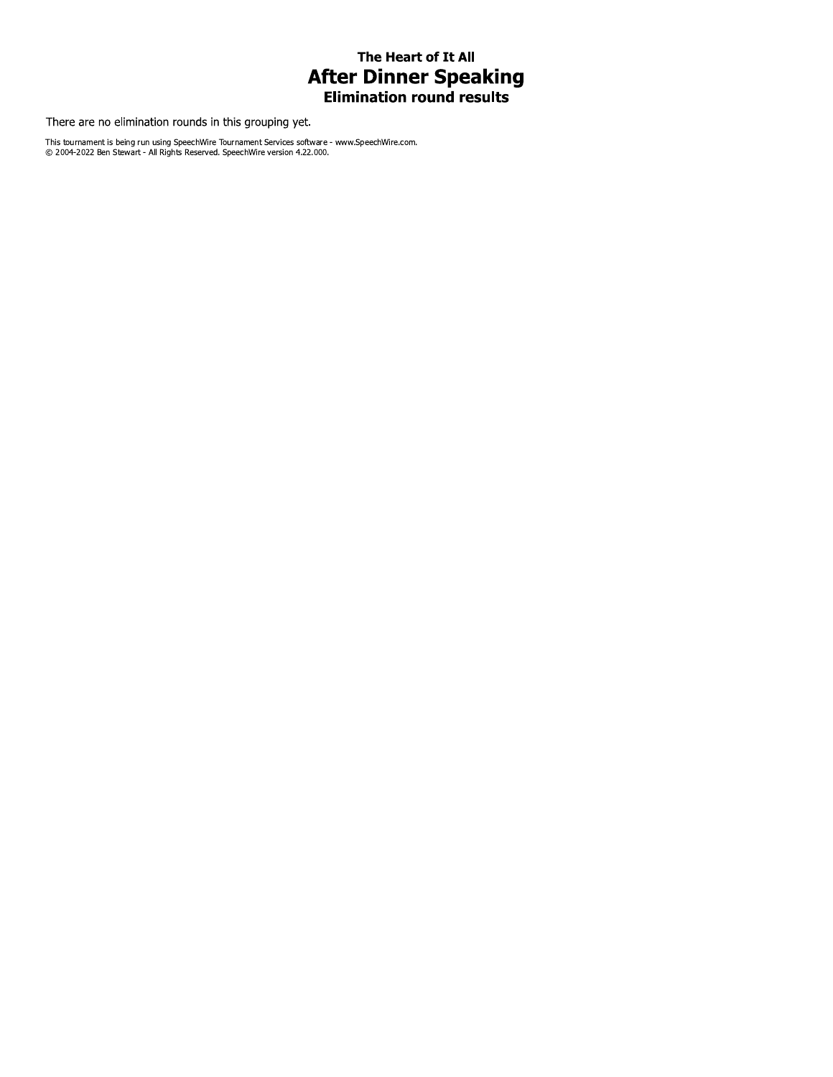## The Heart of It All **After Dinner Speaking Elimination round results**

There are no elimination rounds in this grouping yet.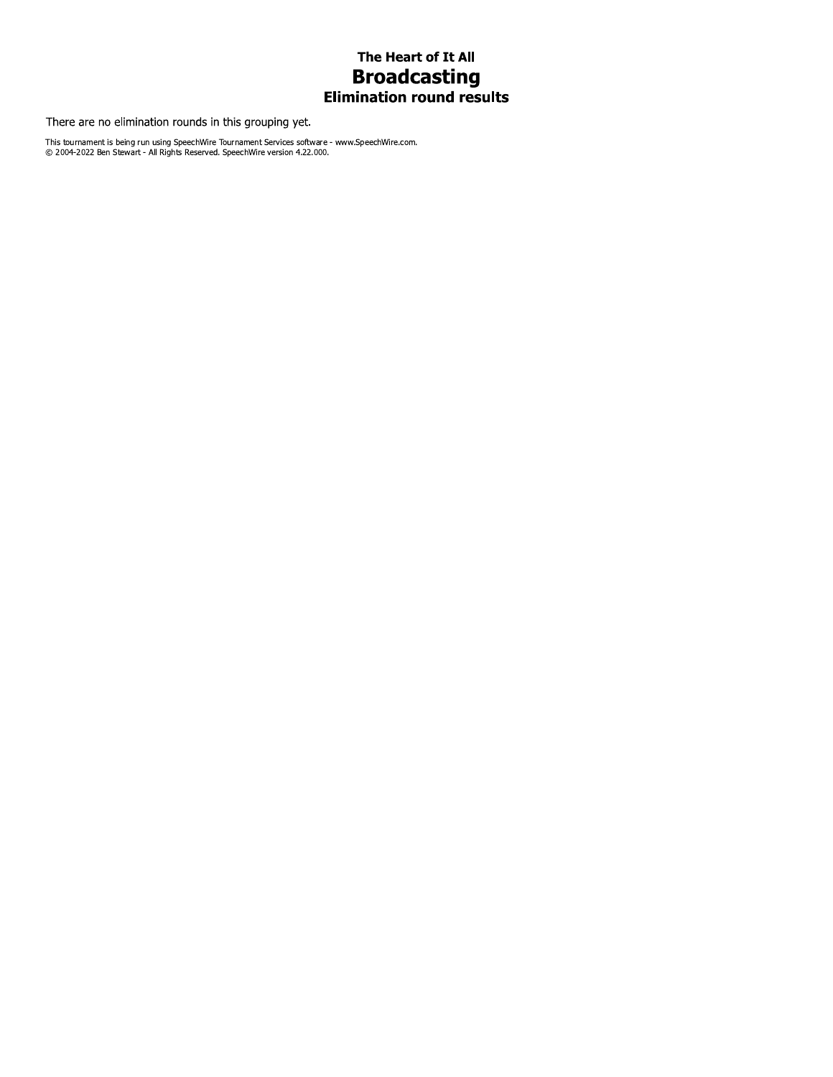## The Heart of It All **Broadcasting Elimination round results**

There are no elimination rounds in this grouping yet.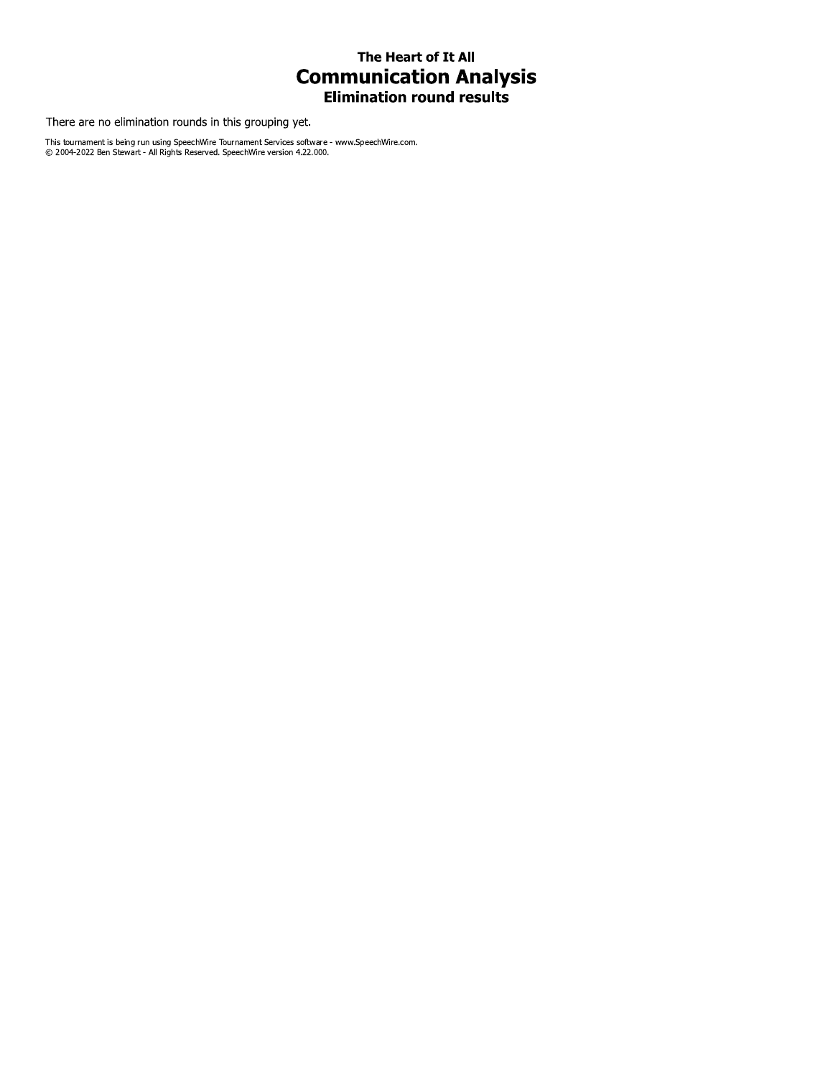## The Heart of It All **Communication Analysis Elimination round results**

There are no elimination rounds in this grouping yet.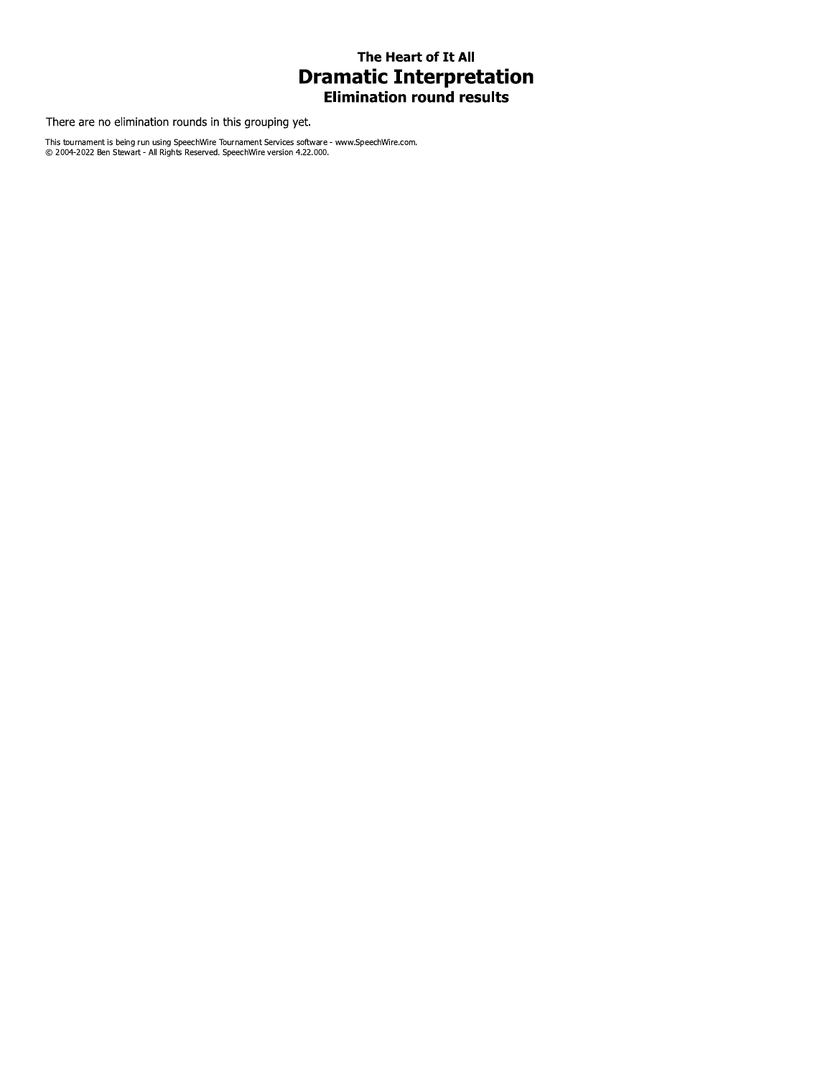## The Heart of It All **Dramatic Interpretation Elimination round results**

There are no elimination rounds in this grouping yet.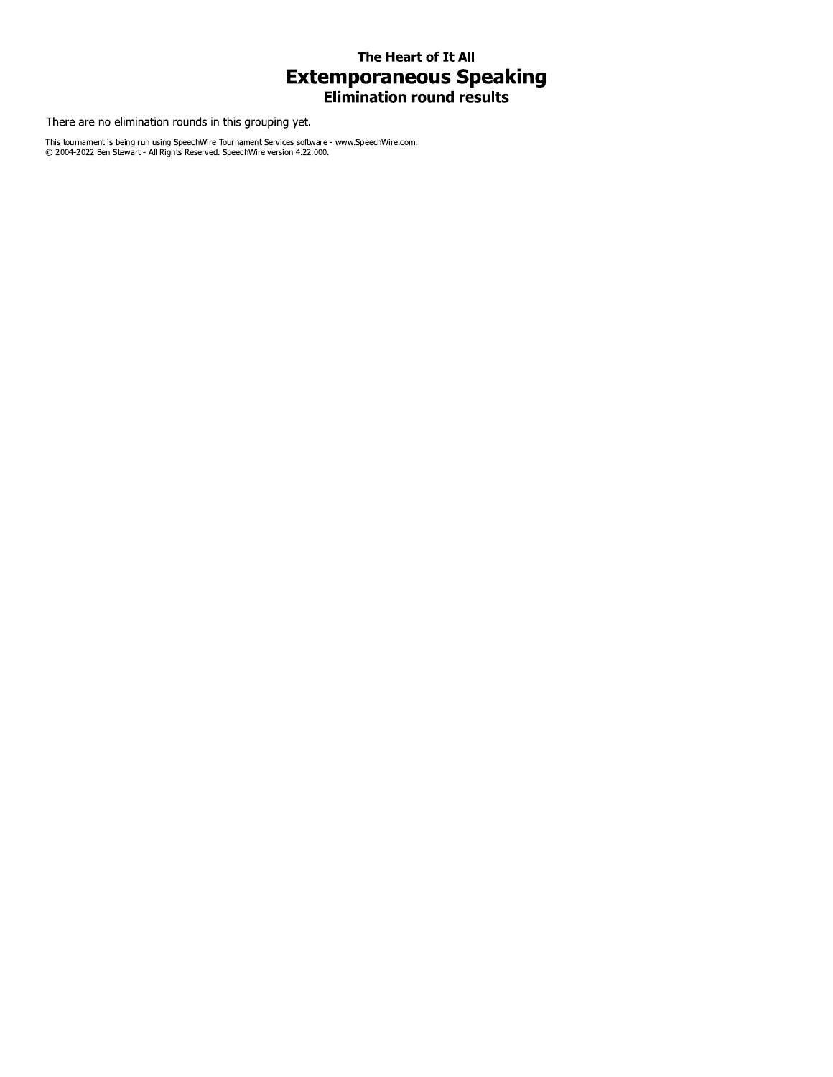## The Heart of It All **Extemporaneous Speaking Elimination round results**

There are no elimination rounds in this grouping yet.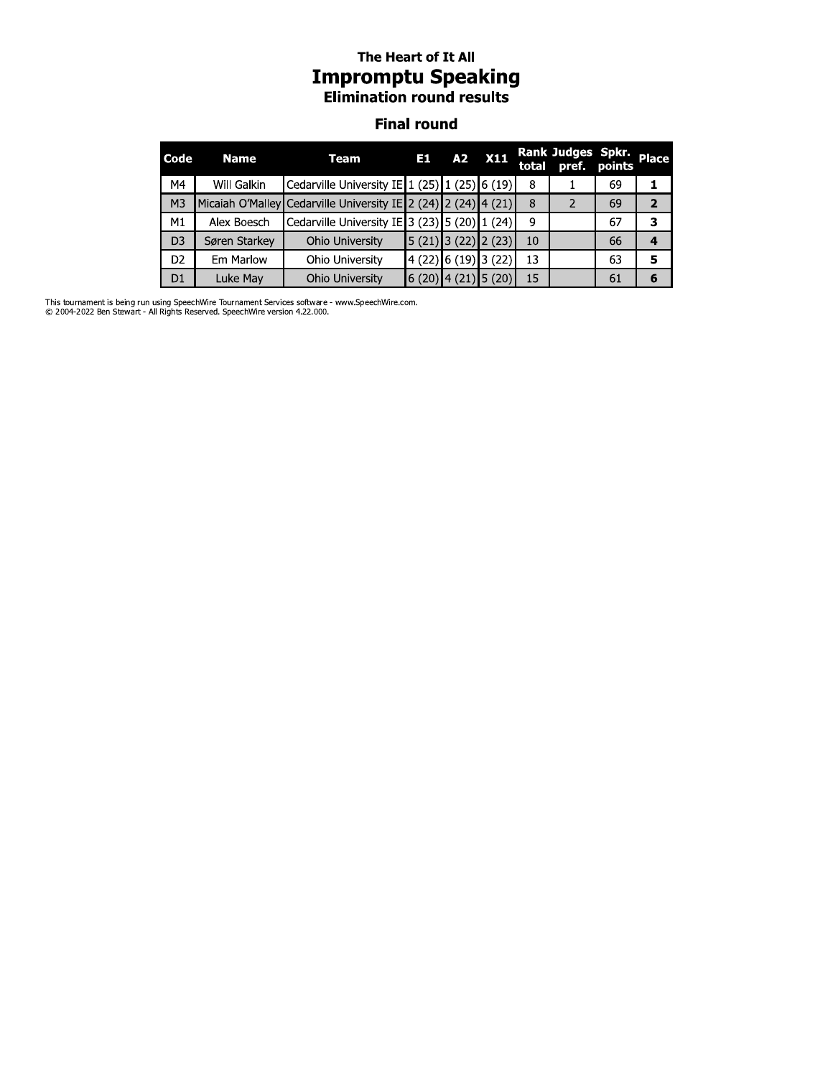# The Heart of It All **Impromptu Speaking**<br>Elimination round results

#### **Final round**

| Code           | <b>Name</b>   | Team                                                           | E1.                                         |                      | A2 X11 |    | Rank Judges Spkr.       |    | <b>Place</b>   |
|----------------|---------------|----------------------------------------------------------------|---------------------------------------------|----------------------|--------|----|-------------------------|----|----------------|
| M4             | Will Galkin   | Cedarville University IE 1 (25) 1 (25) 6 (19)                  |                                             |                      |        | 8  |                         | 69 |                |
| M <sub>3</sub> |               | Micaiah O'Malley Cedarville University IE 2 (24) 2 (24) 4 (21) |                                             |                      |        | 8  | $\overline{\mathbf{c}}$ | 69 | $\overline{2}$ |
| M1             | Alex Boesch   | Cedarville University IE 3 (23) 5 (20) 1 (24)                  |                                             |                      |        | 9  |                         | 67 | з              |
| D <sub>3</sub> | Søren Starkey | Ohio University                                                | $\vert 5(21) \vert 3(22) \vert 2(23) \vert$ |                      |        | 10 |                         | 66 |                |
| D <sub>2</sub> | Em Marlow     | Ohio University                                                |                                             | 4 (22) 6 (19) 3 (22) |        | 13 |                         | 63 | 5              |
| D <sub>1</sub> | Luke May      | <b>Ohio University</b>                                         | 6 (20)  4 (21)  5 (20)                      |                      |        | 15 |                         | 61 | 6              |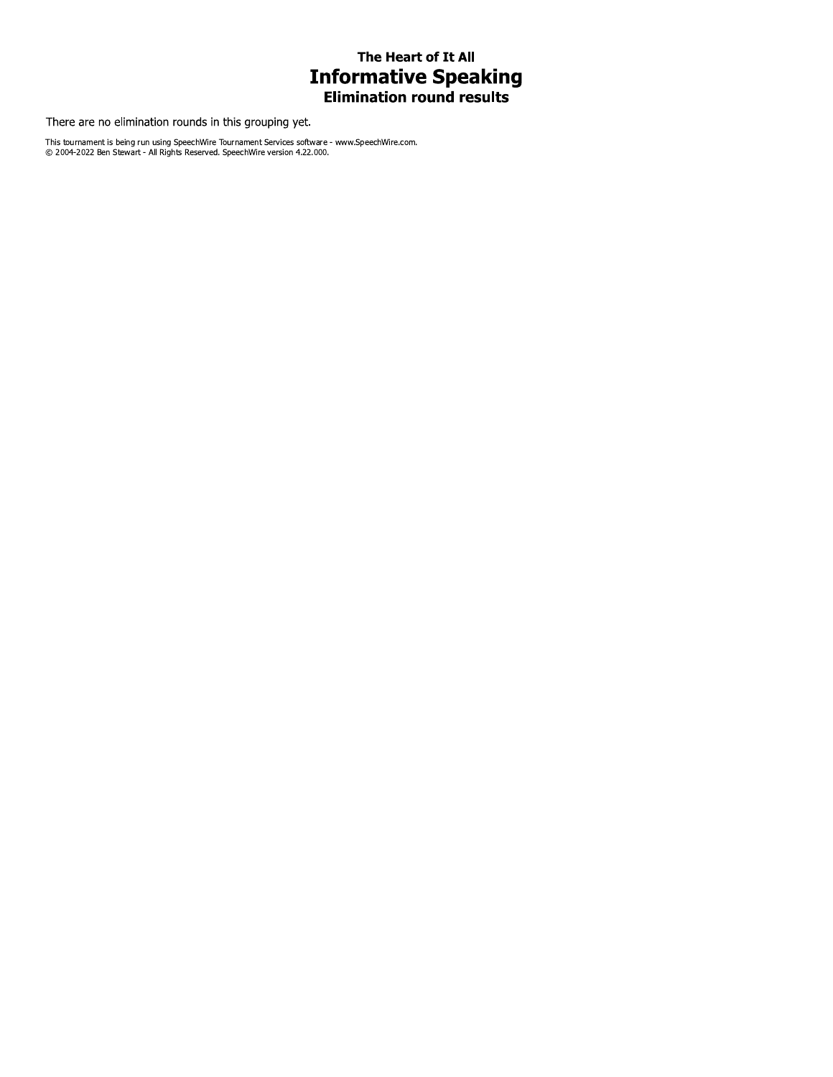# The Heart of It All **Informative Speaking**<br>Elimination round results

There are no elimination rounds in this grouping yet.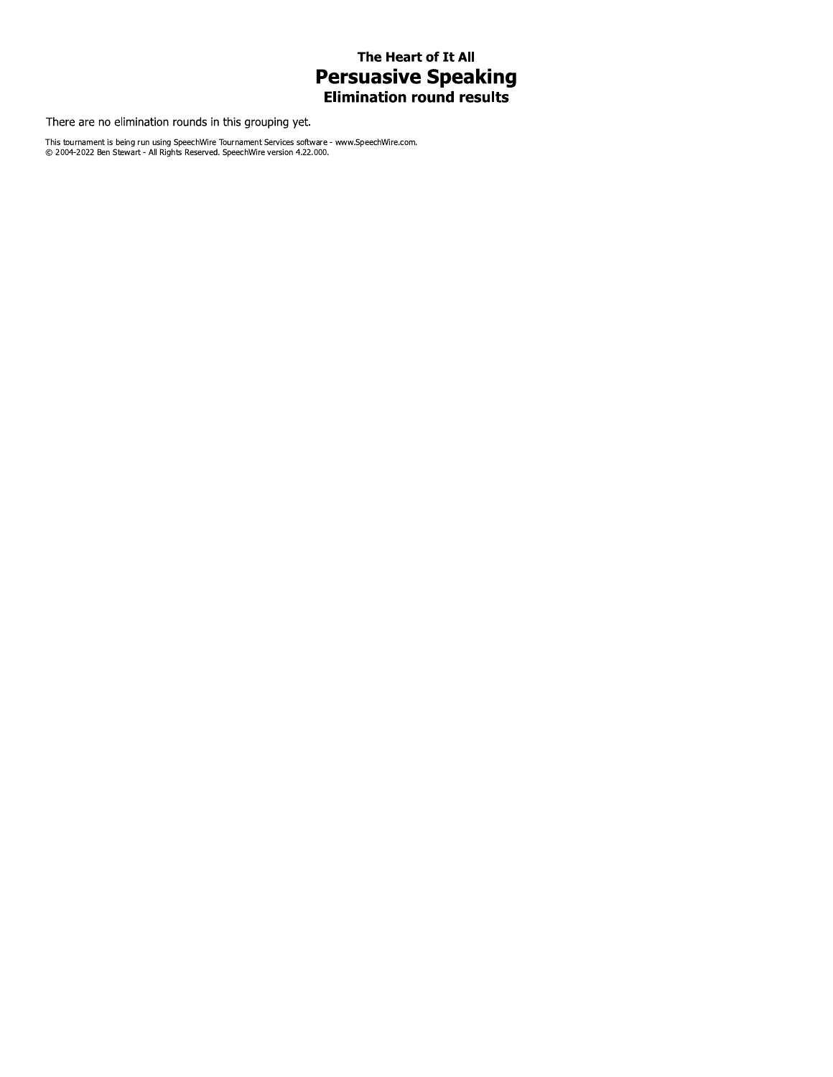# The Heart of It All **Persuasive Speaking**<br>Elimination round results

There are no elimination rounds in this grouping yet.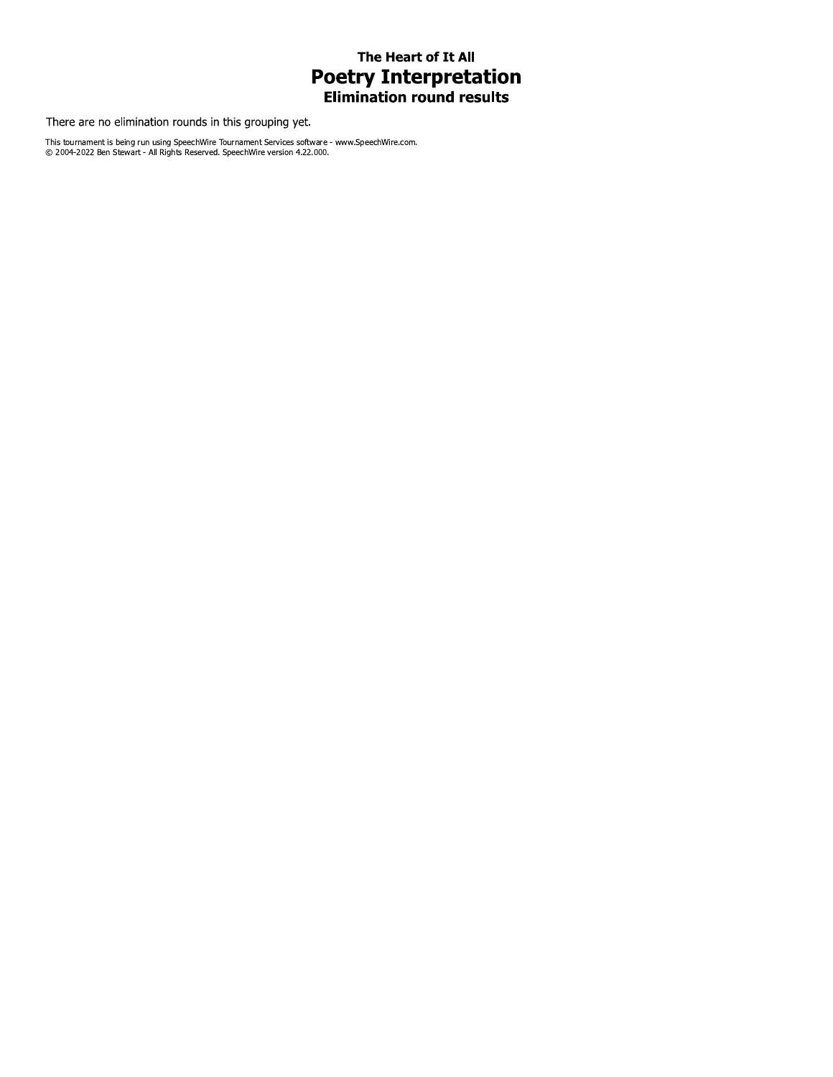# The Heart of It All **Poetry Interpretation**<br>Elimination round results

There are no elimination rounds in this grouping yet.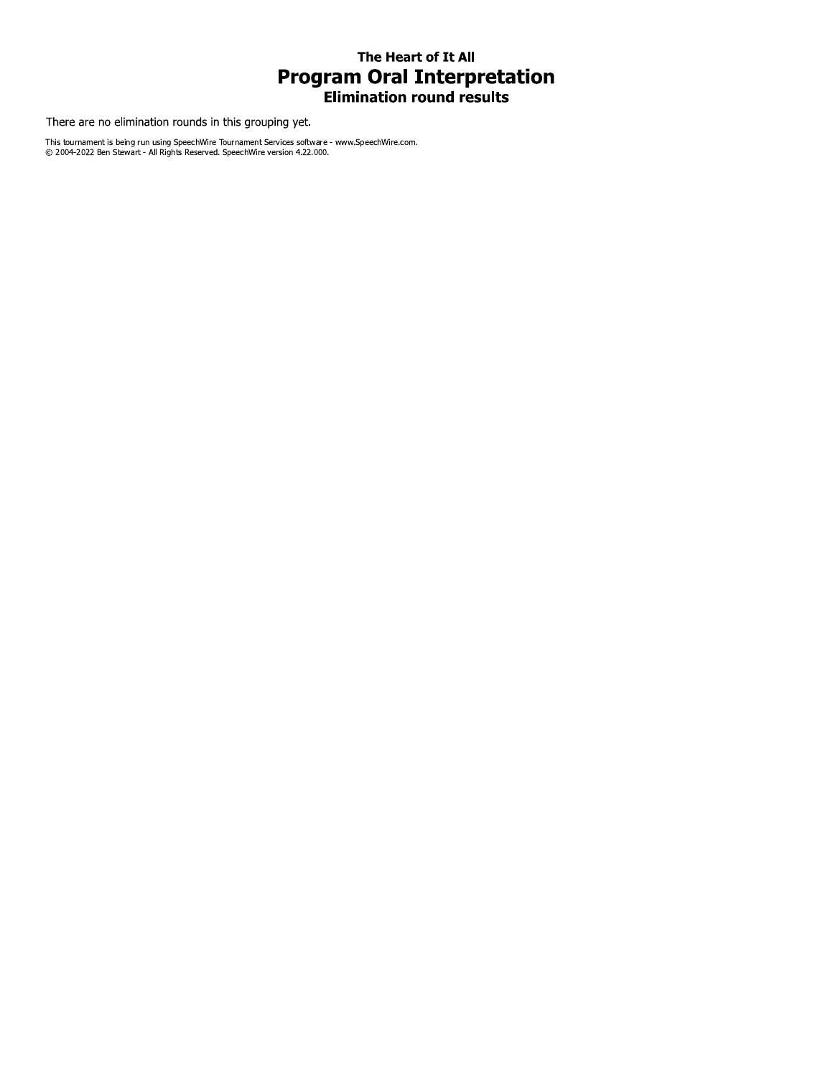## The Heart of It All **Program Oral Interpretation Elimination round results**

There are no elimination rounds in this grouping yet.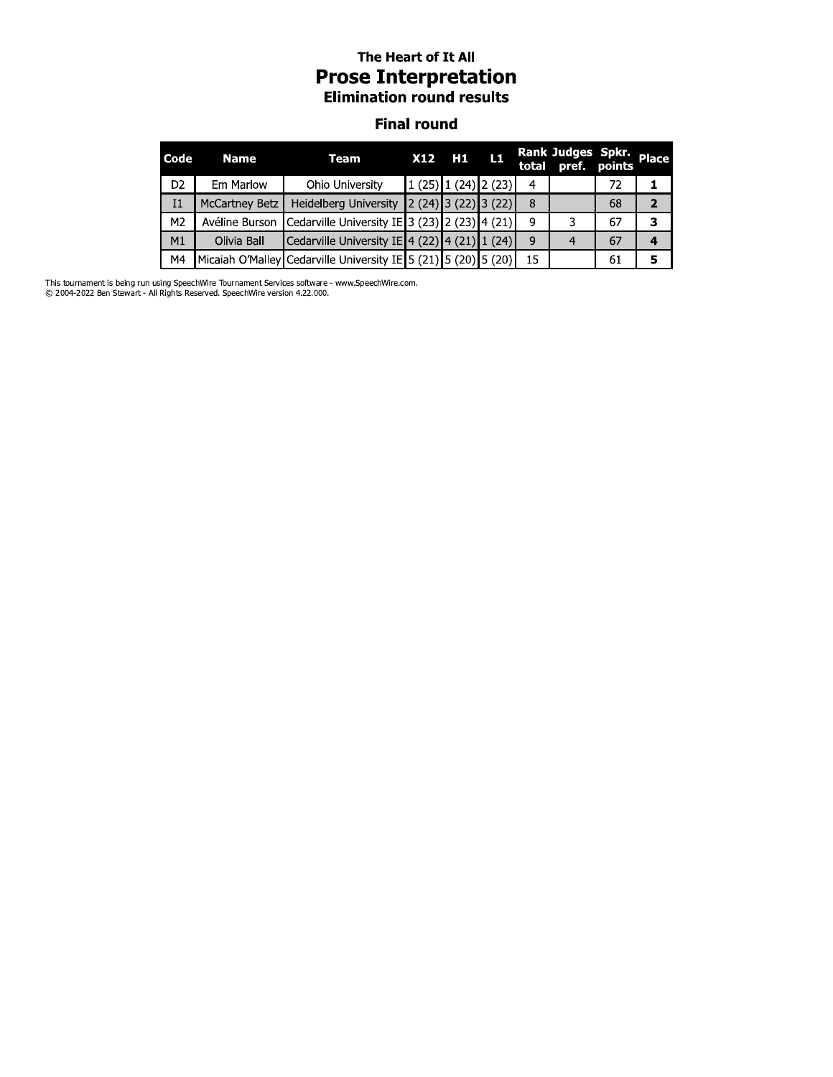### The Heart of It All **Prose Interpretation Elimination round results**

#### **Final round**

| Code           | <b>Name</b>           | Team                                                                                             | <b>X12</b> | H1                                        | <b>TL1</b> |    | Rank Judges Spkr. Place<br>total pref. points |    |                |
|----------------|-----------------------|--------------------------------------------------------------------------------------------------|------------|-------------------------------------------|------------|----|-----------------------------------------------|----|----------------|
| D <sub>2</sub> | Em Marlow             | Ohio University                                                                                  |            | $\left  \frac{1(25)}{1(24)} \right $ (23) |            | 4  |                                               | 72 |                |
| Ι1             | <b>McCartney Betz</b> | <b>Heidelberg University</b>                                                                     |            | $\left 2(24)\right 3(22)\right 3(22)$     |            | 8  |                                               | 68 | $\overline{2}$ |
| M <sub>2</sub> | Avéline Burson        | Cedarville University IE 3 (23) 2 (23) 4 (21)                                                    |            |                                           |            | 9  |                                               | 67 | 3              |
| M1             | Olivia Ball           | Cedarville University IE $\left  4 \right $ (22) $\left  4 \right $ (21) $\left  1 \right $ (24) |            |                                           |            | -9 |                                               | 67 |                |
| M4             |                       | Micaiah O'Malley Cedarville University IE 5 (21) 5 (20) 5 (20)                                   |            |                                           |            | 15 |                                               | 61 |                |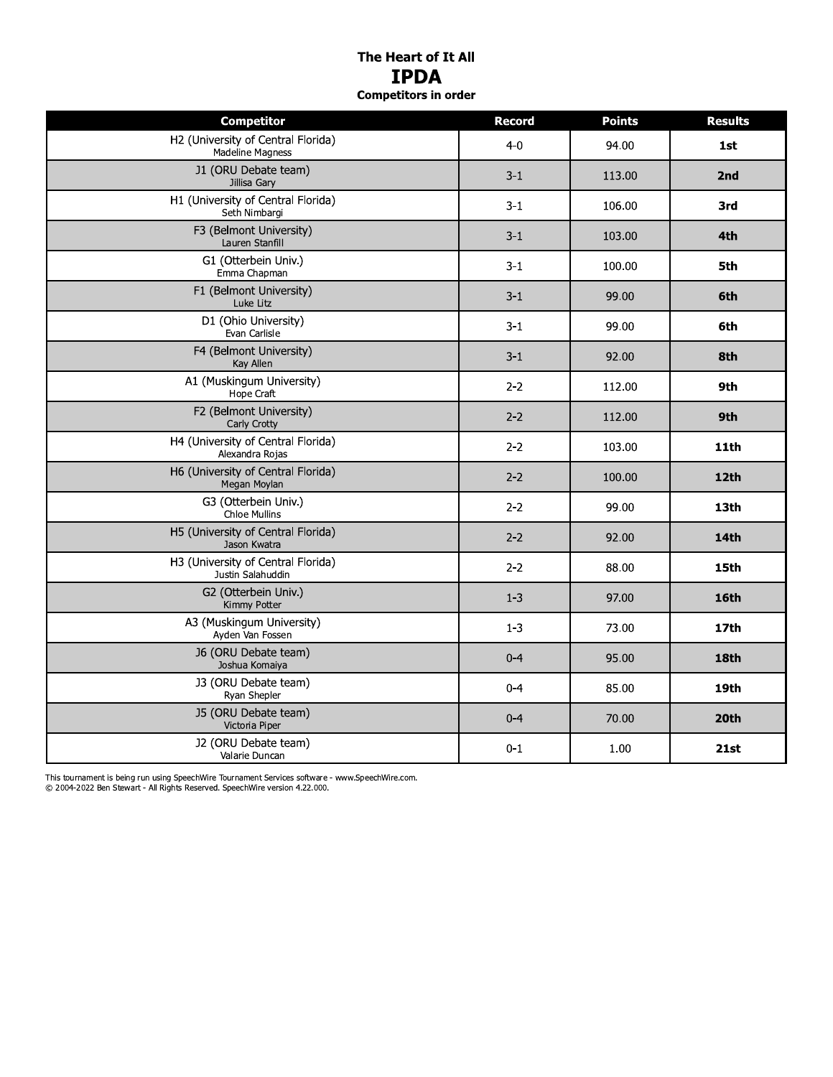### The Heart of It All **IPDA Competitors in order**

| <b>Competitor</b>                                             | <b>Record</b> | <b>Points</b> | <b>Results</b> |
|---------------------------------------------------------------|---------------|---------------|----------------|
| H2 (University of Central Florida)<br><b>Madeline Magness</b> | $4-0$         | 94.00         | 1st            |
| J1 (ORU Debate team)<br>Jillisa Gary                          | $3 - 1$       | 113.00        | 2nd            |
| H1 (University of Central Florida)<br>Seth Nimbargi           | $3-1$         | 106.00        | 3rd            |
| F3 (Belmont University)<br>Lauren Stanfill                    | $3 - 1$       | 103.00        | 4th            |
| G1 (Otterbein Univ.)<br>Emma Chapman                          | $3 - 1$       | 100.00        | 5th            |
| F1 (Belmont University)<br>Luke Litz                          | $3 - 1$       | 99.00         | 6th            |
| D1 (Ohio University)<br>Evan Carlisle                         | $3-1$         | 99.00         | 6th            |
| F4 (Belmont University)<br>Kay Allen                          | $3-1$         | 92.00         | 8th            |
| A1 (Muskingum University)<br>Hope Craft                       | $2 - 2$       | 112.00        | 9th            |
| F2 (Belmont University)<br>Carly Crotty                       | $2 - 2$       | 112.00        | 9th            |
| H4 (University of Central Florida)<br>Alexandra Rojas         | $2 - 2$       | 103.00        | <b>11th</b>    |
| H6 (University of Central Florida)<br>Megan Moylan            | $2 - 2$       | 100.00        | 12th           |
| G3 (Otterbein Univ.)<br><b>Chloe Mullins</b>                  | $2 - 2$       | 99.00         | 13th           |
| H5 (University of Central Florida)<br>Jason Kwatra            | $2 - 2$       | 92.00         | 14th           |
| H3 (University of Central Florida)<br>Justin Salahuddin       | $2 - 2$       | 88.00         | 15th           |
| G2 (Otterbein Univ.)<br>Kimmy Potter                          | $1 - 3$       | 97.00         | <b>16th</b>    |
| A3 (Muskingum University)<br>Ayden Van Fossen                 | $1 - 3$       | 73.00         | <b>17th</b>    |
| J6 (ORU Debate team)<br>Joshua Komaiya                        | $0 - 4$       | 95.00         | 18th           |
| J3 (ORU Debate team)<br>Ryan Shepler                          | $0 - 4$       | 85.00         | 19th           |
| J5 (ORU Debate team)<br>Victoria Piper                        | $0 - 4$       | 70.00         | 20th           |
| J2 (ORU Debate team)<br>Valarie Duncan                        | $0 - 1$       | 1.00          | 21st           |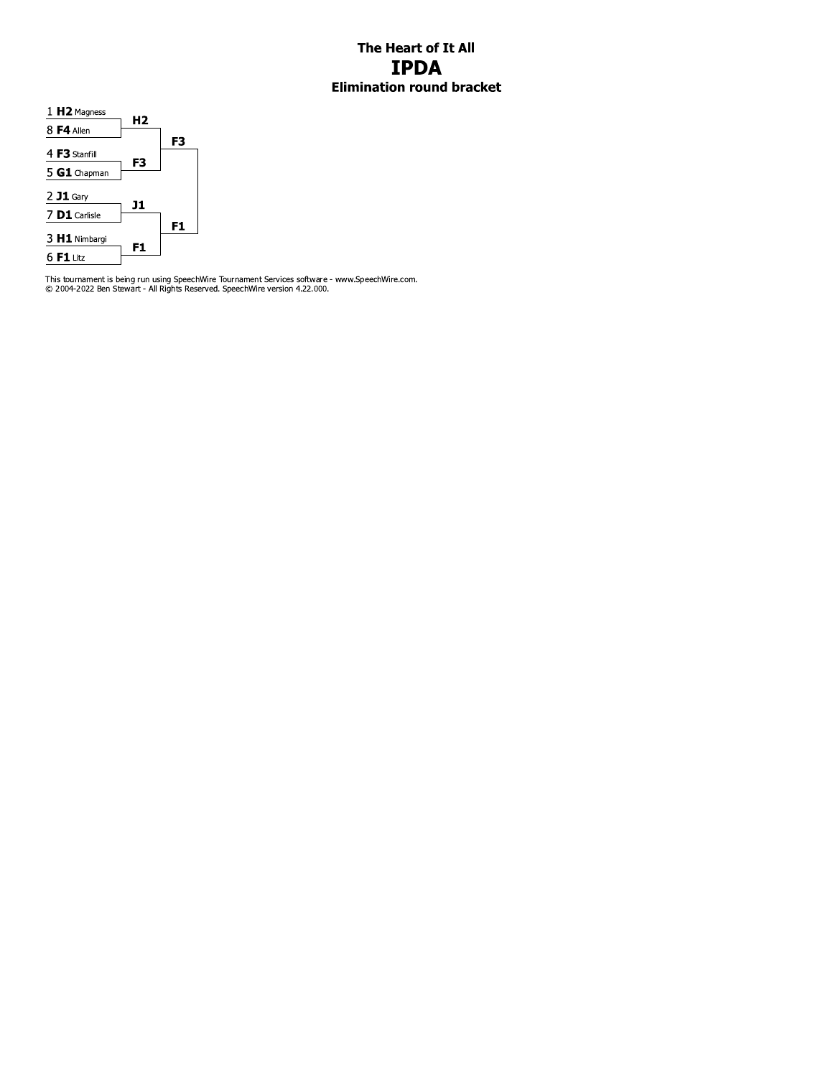